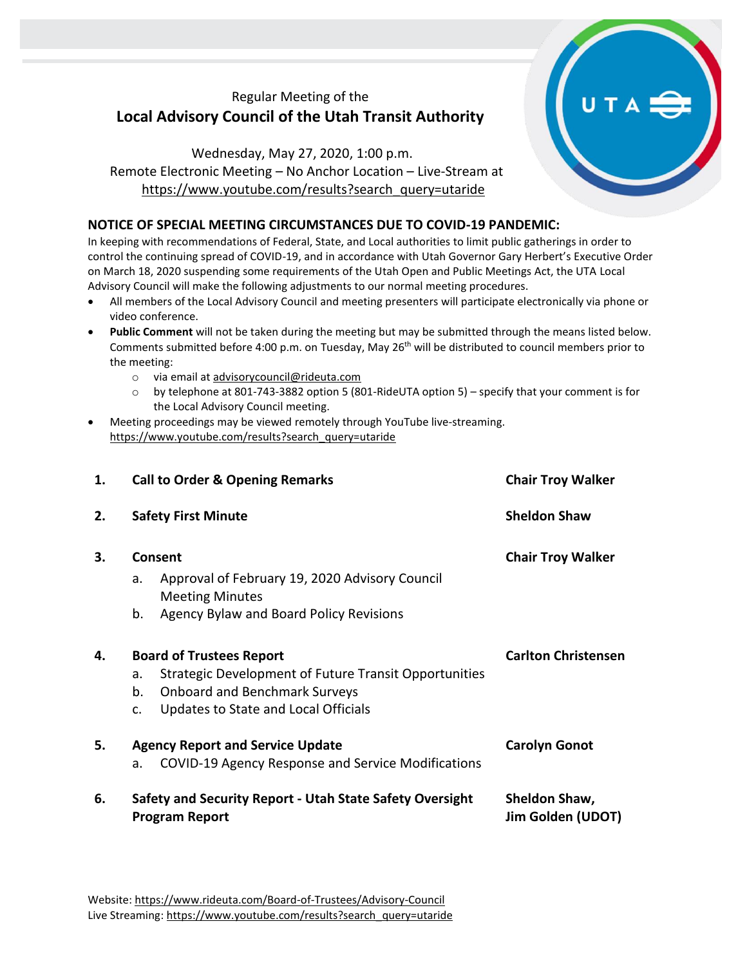## Regular Meeting of the **Local Advisory Council of the Utah Transit Authority**

Wednesday, May 27, 2020, 1:00 p.m. Remote Electronic Meeting – No Anchor Location – Live-Stream at [https://www.youtube.com/results?search\\_query=utaride](https://www.youtube.com/results?search_query=utaride)

## **NOTICE OF SPECIAL MEETING CIRCUMSTANCES DUE TO COVID-19 PANDEMIC:**

In keeping with recommendations of Federal, State, and Local authorities to limit public gatherings in order to control the continuing spread of COVID-19, and in accordance with Utah Governor Gary Herbert's Executive Order on March 18, 2020 suspending some requirements of the Utah Open and Public Meetings Act, the UTA Local Advisory Council will make the following adjustments to our normal meeting procedures.

- All members of the Local Advisory Council and meeting presenters will participate electronically via phone or video conference.
- **Public Comment** will not be taken during the meeting but may be submitted through the means listed below. Comments submitted before 4:00 p.m. on Tuesday, May 26th will be distributed to council members prior to the meeting:
	- o via email at [advisorycouncil@rideuta.com](mailto:advisorycouncil@rideuta.com)
	- o by telephone at 801-743-3882 option 5 (801-RideUTA option 5) specify that your comment is for the Local Advisory Council meeting.
- Meeting proceedings may be viewed remotely through YouTube live-streaming. [https://www.youtube.com/results?search\\_query=utaride](https://www.youtube.com/results?search_query=utaride)

| 1. | <b>Call to Order &amp; Opening Remarks</b>                                        | <b>Chair Troy Walker</b>           |
|----|-----------------------------------------------------------------------------------|------------------------------------|
| 2. | <b>Safety First Minute</b>                                                        | <b>Sheldon Shaw</b>                |
| 3. | Consent                                                                           | <b>Chair Troy Walker</b>           |
|    | Approval of February 19, 2020 Advisory Council<br>a.<br><b>Meeting Minutes</b>    |                                    |
|    | b.<br>Agency Bylaw and Board Policy Revisions                                     |                                    |
| 4. | <b>Board of Trustees Report</b>                                                   | <b>Carlton Christensen</b>         |
|    | Strategic Development of Future Transit Opportunities<br>a.                       |                                    |
|    | <b>Onboard and Benchmark Surveys</b><br>b.                                        |                                    |
|    | Updates to State and Local Officials<br>c.                                        |                                    |
| 5. | <b>Agency Report and Service Update</b>                                           | <b>Carolyn Gonot</b>               |
|    | COVID-19 Agency Response and Service Modifications<br>a.                          |                                    |
| 6. | Safety and Security Report - Utah State Safety Oversight<br><b>Program Report</b> | Sheldon Shaw,<br>Jim Golden (UDOT) |